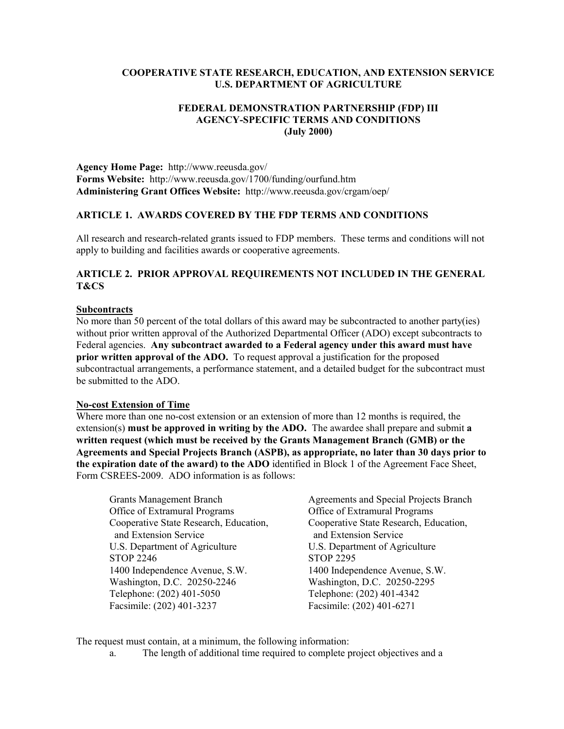# **COOPERATIVE STATE RESEARCH, EDUCATION, AND EXTENSION SERVICE U.S. DEPARTMENT OF AGRICULTURE**

# **FEDERAL DEMONSTRATION PARTNERSHIP (FDP) III AGENCY-SPECIFIC TERMS AND CONDITIONS (July 2000)**

**Agency Home Page:** http://www.reeusda.gov/ **Forms Website:** http://www.reeusda.gov/1700/funding/ourfund.htm **Administering Grant Offices Website:** http://www.reeusda.gov/crgam/oep/

## **ARTICLE 1. AWARDS COVERED BY THE FDP TERMS AND CONDITIONS**

All research and research-related grants issued to FDP members. These terms and conditions will not apply to building and facilities awards or cooperative agreements.

## **ARTICLE 2. PRIOR APPROVAL REQUIREMENTS NOT INCLUDED IN THE GENERAL T&CS**

### **Subcontracts**

No more than 50 percent of the total dollars of this award may be subcontracted to another party(ies) without prior written approval of the Authorized Departmental Officer (ADO) except subcontracts to Federal agencies. **Any subcontract awarded to a Federal agency under this award must have prior written approval of the ADO.** To request approval a justification for the proposed subcontractual arrangements, a performance statement, and a detailed budget for the subcontract must be submitted to the ADO.

### **No-cost Extension of Time**

Where more than one no-cost extension or an extension of more than 12 months is required, the extension(s) **must be approved in writing by the ADO.** The awardee shall prepare and submit **a written request (which must be received by the Grants Management Branch (GMB) or the Agreements and Special Projects Branch (ASPB), as appropriate, no later than 30 days prior to the expiration date of the award) to the ADO** identified in Block 1 of the Agreement Face Sheet, Form CSREES-2009. ADO information is as follows:

Grants Management Branch Agreements and Special Projects Branch Office of Extramural Programs Office of Extramural Programs and Extension Service and Extension Service U.S. Department of Agriculture U.S. Department of Agriculture STOP 2246 STOP 2295 1400 Independence Avenue, S.W. 1400 Independence Avenue, S.W. Washington, D.C. 20250-2246 Washington, D.C. 20250-2295 Telephone: (202) 401-5050 Telephone: (202) 401-4342 Facsimile: (202) 401-3237 Facsimile: (202) 401-6271

Cooperative State Research, Education, Cooperative State Research, Education,

The request must contain, at a minimum, the following information:

a. The length of additional time required to complete project objectives and a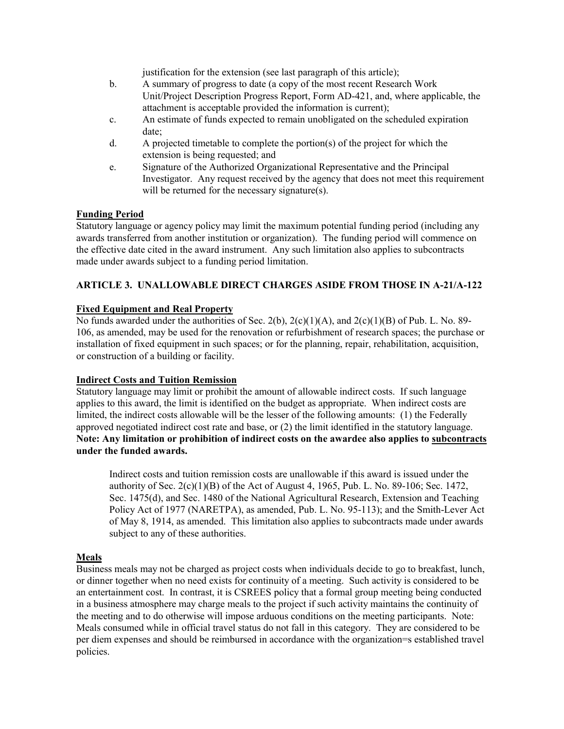justification for the extension (see last paragraph of this article);

- b. A summary of progress to date (a copy of the most recent Research Work Unit/Project Description Progress Report, Form AD-421, and, where applicable, the attachment is acceptable provided the information is current);
- c. An estimate of funds expected to remain unobligated on the scheduled expiration date;
- d. A projected timetable to complete the portion(s) of the project for which the extension is being requested; and
- e. Signature of the Authorized Organizational Representative and the Principal Investigator. Any request received by the agency that does not meet this requirement will be returned for the necessary signature(s).

# **Funding Period**

Statutory language or agency policy may limit the maximum potential funding period (including any awards transferred from another institution or organization). The funding period will commence on the effective date cited in the award instrument. Any such limitation also applies to subcontracts made under awards subject to a funding period limitation.

# **ARTICLE 3. UNALLOWABLE DIRECT CHARGES ASIDE FROM THOSE IN A-21/A-122**

# **Fixed Equipment and Real Property**

No funds awarded under the authorities of Sec. 2(b),  $2(c)(1)(A)$ , and  $2(c)(1)(B)$  of Pub. L. No. 89-106, as amended, may be used for the renovation or refurbishment of research spaces; the purchase or installation of fixed equipment in such spaces; or for the planning, repair, rehabilitation, acquisition, or construction of a building or facility.

## **Indirect Costs and Tuition Remission**

Statutory language may limit or prohibit the amount of allowable indirect costs. If such language applies to this award, the limit is identified on the budget as appropriate. When indirect costs are limited, the indirect costs allowable will be the lesser of the following amounts: (1) the Federally approved negotiated indirect cost rate and base, or (2) the limit identified in the statutory language. **Note: Any limitation or prohibition of indirect costs on the awardee also applies to subcontracts under the funded awards.**

Indirect costs and tuition remission costs are unallowable if this award is issued under the authority of Sec. 2(c)(1)(B) of the Act of August 4, 1965, Pub. L. No. 89-106; Sec. 1472, Sec. 1475(d), and Sec. 1480 of the National Agricultural Research, Extension and Teaching Policy Act of 1977 (NARETPA), as amended, Pub. L. No. 95-113); and the Smith-Lever Act of May 8, 1914, as amended. This limitation also applies to subcontracts made under awards subject to any of these authorities.

## **Meals**

Business meals may not be charged as project costs when individuals decide to go to breakfast, lunch, or dinner together when no need exists for continuity of a meeting. Such activity is considered to be an entertainment cost. In contrast, it is CSREES policy that a formal group meeting being conducted in a business atmosphere may charge meals to the project if such activity maintains the continuity of the meeting and to do otherwise will impose arduous conditions on the meeting participants. Note: Meals consumed while in official travel status do not fall in this category. They are considered to be per diem expenses and should be reimbursed in accordance with the organization=s established travel policies.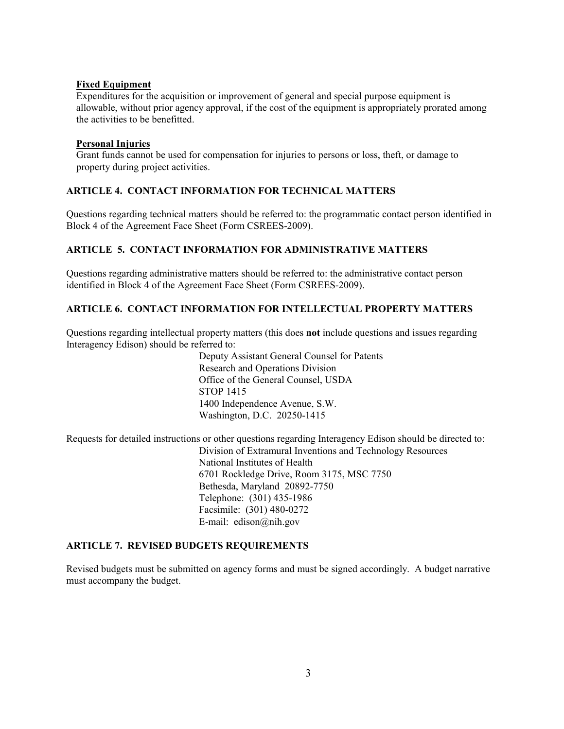## **Fixed Equipment**

Expenditures for the acquisition or improvement of general and special purpose equipment is allowable, without prior agency approval, if the cost of the equipment is appropriately prorated among the activities to be benefitted.

### **Personal Injuries**

Grant funds cannot be used for compensation for injuries to persons or loss, theft, or damage to property during project activities.

# **ARTICLE 4. CONTACT INFORMATION FOR TECHNICAL MATTERS**

Questions regarding technical matters should be referred to: the programmatic contact person identified in Block 4 of the Agreement Face Sheet (Form CSREES-2009).

# **ARTICLE 5. CONTACT INFORMATION FOR ADMINISTRATIVE MATTERS**

Questions regarding administrative matters should be referred to: the administrative contact person identified in Block 4 of the Agreement Face Sheet (Form CSREES-2009).

## **ARTICLE 6. CONTACT INFORMATION FOR INTELLECTUAL PROPERTY MATTERS**

Questions regarding intellectual property matters (this does **not** include questions and issues regarding Interagency Edison) should be referred to:

> Deputy Assistant General Counsel for Patents Research and Operations Division Office of the General Counsel, USDA STOP 1415 1400 Independence Avenue, S.W. Washington, D.C. 20250-1415

Requests for detailed instructions or other questions regarding Interagency Edison should be directed to: Division of Extramural Inventions and Technology Resources National Institutes of Health 6701 Rockledge Drive, Room 3175, MSC 7750 Bethesda, Maryland 20892-7750 Telephone: (301) 435-1986 Facsimile: (301) 480-0272 E-mail: edison@nih.gov

## **ARTICLE 7. REVISED BUDGETS REQUIREMENTS**

Revised budgets must be submitted on agency forms and must be signed accordingly. A budget narrative must accompany the budget.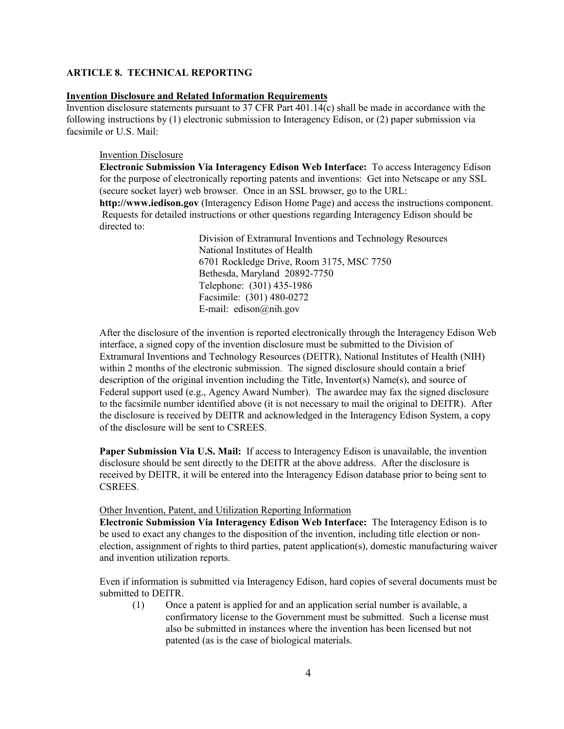### **ARTICLE 8. TECHNICAL REPORTING**

### **Invention Disclosure and Related Information Requirements**

Invention disclosure statements pursuant to 37 CFR Part 401.14(c) shall be made in accordance with the following instructions by (1) electronic submission to Interagency Edison, or (2) paper submission via facsimile or U.S. Mail:

#### Invention Disclosure

**Electronic Submission Via Interagency Edison Web Interface:** To access Interagency Edison for the purpose of electronically reporting patents and inventions: Get into Netscape or any SSL (secure socket layer) web browser. Once in an SSL browser, go to the URL:

**http://www.iedison.gov** (Interagency Edison Home Page) and access the instructions component. Requests for detailed instructions or other questions regarding Interagency Edison should be directed to:

> Division of Extramural Inventions and Technology Resources National Institutes of Health 6701 Rockledge Drive, Room 3175, MSC 7750 Bethesda, Maryland 20892-7750 Telephone: (301) 435-1986 Facsimile: (301) 480-0272 E-mail: edison@nih.gov

After the disclosure of the invention is reported electronically through the Interagency Edison Web interface, a signed copy of the invention disclosure must be submitted to the Division of Extramural Inventions and Technology Resources (DEITR), National Institutes of Health (NIH) within 2 months of the electronic submission. The signed disclosure should contain a brief description of the original invention including the Title, Inventor(s) Name(s), and source of Federal support used (e.g., Agency Award Number). The awardee may fax the signed disclosure to the facsimile number identified above (it is not necessary to mail the original to DEITR). After the disclosure is received by DEITR and acknowledged in the Interagency Edison System, a copy of the disclosure will be sent to CSREES.

**Paper Submission Via U.S. Mail:** If access to Interagency Edison is unavailable, the invention disclosure should be sent directly to the DEITR at the above address. After the disclosure is received by DEITR, it will be entered into the Interagency Edison database prior to being sent to CSREES.

#### Other Invention, Patent, and Utilization Reporting Information

**Electronic Submission Via Interagency Edison Web Interface:** The Interagency Edison is to be used to exact any changes to the disposition of the invention, including title election or nonelection, assignment of rights to third parties, patent application(s), domestic manufacturing waiver and invention utilization reports.

Even if information is submitted via Interagency Edison, hard copies of several documents must be submitted to DEITR.

(1) Once a patent is applied for and an application serial number is available, a confirmatory license to the Government must be submitted. Such a license must also be submitted in instances where the invention has been licensed but not patented (as is the case of biological materials.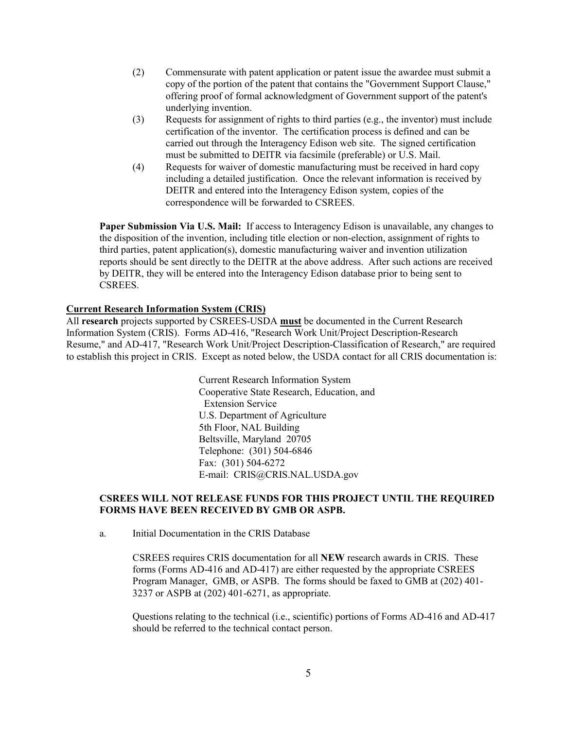- (2) Commensurate with patent application or patent issue the awardee must submit a copy of the portion of the patent that contains the "Government Support Clause," offering proof of formal acknowledgment of Government support of the patent's underlying invention.
- (3) Requests for assignment of rights to third parties (e.g., the inventor) must include certification of the inventor. The certification process is defined and can be carried out through the Interagency Edison web site. The signed certification must be submitted to DEITR via facsimile (preferable) or U.S. Mail.
- (4) Requests for waiver of domestic manufacturing must be received in hard copy including a detailed justification. Once the relevant information is received by DEITR and entered into the Interagency Edison system, copies of the correspondence will be forwarded to CSREES.

**Paper Submission Via U.S. Mail:** If access to Interagency Edison is unavailable, any changes to the disposition of the invention, including title election or non-election, assignment of rights to third parties, patent application(s), domestic manufacturing waiver and invention utilization reports should be sent directly to the DEITR at the above address. After such actions are received by DEITR, they will be entered into the Interagency Edison database prior to being sent to CSREES.

## **Current Research Information System (CRIS)**

All **research** projects supported by CSREES-USDA **must** be documented in the Current Research Information System (CRIS). Forms AD-416, "Research Work Unit/Project Description-Research Resume," and AD-417, "Research Work Unit/Project Description-Classification of Research," are required to establish this project in CRIS. Except as noted below, the USDA contact for all CRIS documentation is:

> Current Research Information System Cooperative State Research, Education, and Extension Service U.S. Department of Agriculture 5th Floor, NAL Building Beltsville, Maryland 20705 Telephone: (301) 504-6846 Fax: (301) 504-6272 E-mail: CRIS@CRIS.NAL.USDA.gov

# **CSREES WILL NOT RELEASE FUNDS FOR THIS PROJECT UNTIL THE REQUIRED FORMS HAVE BEEN RECEIVED BY GMB OR ASPB.**

a. Initial Documentation in the CRIS Database

CSREES requires CRIS documentation for all **NEW** research awards in CRIS. These forms (Forms AD-416 and AD-417) are either requested by the appropriate CSREES Program Manager, GMB, or ASPB. The forms should be faxed to GMB at (202) 401- 3237 or ASPB at (202) 401-6271, as appropriate.

Questions relating to the technical (i.e., scientific) portions of Forms AD-416 and AD-417 should be referred to the technical contact person.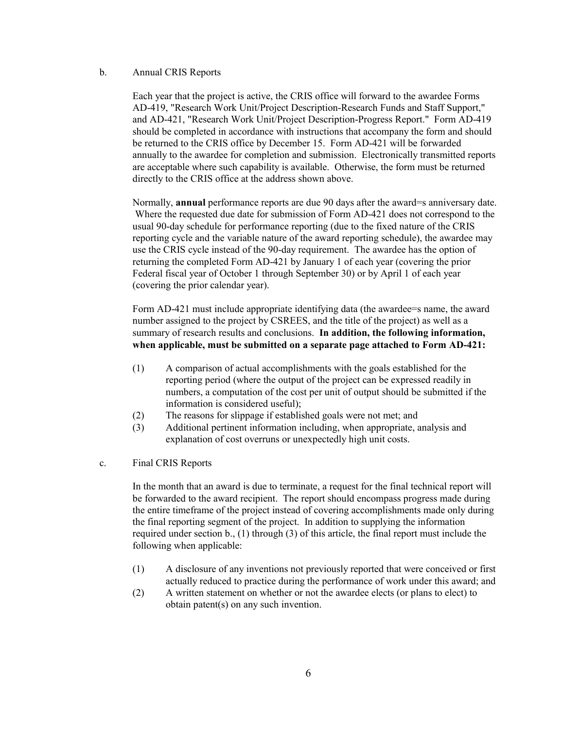### b. Annual CRIS Reports

Each year that the project is active, the CRIS office will forward to the awardee Forms AD-419, "Research Work Unit/Project Description-Research Funds and Staff Support," and AD-421, "Research Work Unit/Project Description-Progress Report." Form AD-419 should be completed in accordance with instructions that accompany the form and should be returned to the CRIS office by December 15. Form AD-421 will be forwarded annually to the awardee for completion and submission. Electronically transmitted reports are acceptable where such capability is available. Otherwise, the form must be returned directly to the CRIS office at the address shown above.

Normally, **annual** performance reports are due 90 days after the award=s anniversary date. Where the requested due date for submission of Form AD-421 does not correspond to the usual 90-day schedule for performance reporting (due to the fixed nature of the CRIS reporting cycle and the variable nature of the award reporting schedule), the awardee may use the CRIS cycle instead of the 90-day requirement. The awardee has the option of returning the completed Form AD-421 by January 1 of each year (covering the prior Federal fiscal year of October 1 through September 30) or by April 1 of each year (covering the prior calendar year).

Form AD-421 must include appropriate identifying data (the awardee=s name, the award number assigned to the project by CSREES, and the title of the project) as well as a summary of research results and conclusions. **In addition, the following information, when applicable, must be submitted on a separate page attached to Form AD-421:**

- (1) A comparison of actual accomplishments with the goals established for the reporting period (where the output of the project can be expressed readily in numbers, a computation of the cost per unit of output should be submitted if the information is considered useful);
- (2) The reasons for slippage if established goals were not met; and
- (3) Additional pertinent information including, when appropriate, analysis and explanation of cost overruns or unexpectedly high unit costs.

### c. Final CRIS Reports

In the month that an award is due to terminate, a request for the final technical report will be forwarded to the award recipient. The report should encompass progress made during the entire timeframe of the project instead of covering accomplishments made only during the final reporting segment of the project. In addition to supplying the information required under section b., (1) through (3) of this article, the final report must include the following when applicable:

- (1) A disclosure of any inventions not previously reported that were conceived or first actually reduced to practice during the performance of work under this award; and
- (2) A written statement on whether or not the awardee elects (or plans to elect) to obtain patent(s) on any such invention.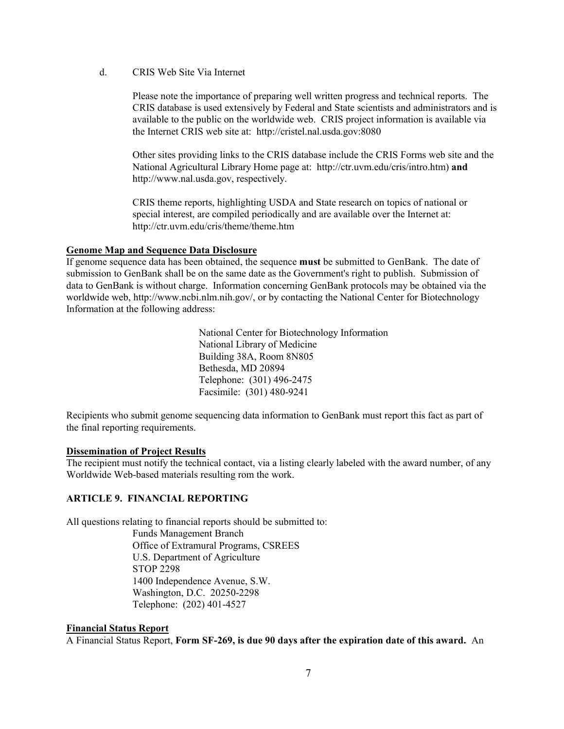d. CRIS Web Site Via Internet

Please note the importance of preparing well written progress and technical reports. The CRIS database is used extensively by Federal and State scientists and administrators and is available to the public on the worldwide web. CRIS project information is available via the Internet CRIS web site at: http://cristel.nal.usda.gov:8080

Other sites providing links to the CRIS database include the CRIS Forms web site and the National Agricultural Library Home page at: http://ctr.uvm.edu/cris/intro.htm) **and** http://www.nal.usda.gov, respectively.

CRIS theme reports, highlighting USDA and State research on topics of national or special interest, are compiled periodically and are available over the Internet at: http://ctr.uvm.edu/cris/theme/theme.htm

## **Genome Map and Sequence Data Disclosure**

If genome sequence data has been obtained, the sequence **must** be submitted to GenBank. The date of submission to GenBank shall be on the same date as the Government's right to publish. Submission of data to GenBank is without charge. Information concerning GenBank protocols may be obtained via the worldwide web, http://www.ncbi.nlm.nih.gov/, or by contacting the National Center for Biotechnology Information at the following address:

> National Center for Biotechnology Information National Library of Medicine Building 38A, Room 8N805 Bethesda, MD 20894 Telephone: (301) 496-2475 Facsimile: (301) 480-9241

Recipients who submit genome sequencing data information to GenBank must report this fact as part of the final reporting requirements.

## **Dissemination of Project Results**

The recipient must notify the technical contact, via a listing clearly labeled with the award number, of any Worldwide Web-based materials resulting rom the work.

# **ARTICLE 9. FINANCIAL REPORTING**

All questions relating to financial reports should be submitted to: Funds Management Branch Office of Extramural Programs, CSREES U.S. Department of Agriculture STOP 2298

1400 Independence Avenue, S.W. Washington, D.C. 20250-2298 Telephone: (202) 401-4527

## **Financial Status Report**

A Financial Status Report, **Form SF-269, is due 90 days after the expiration date of this award.** An